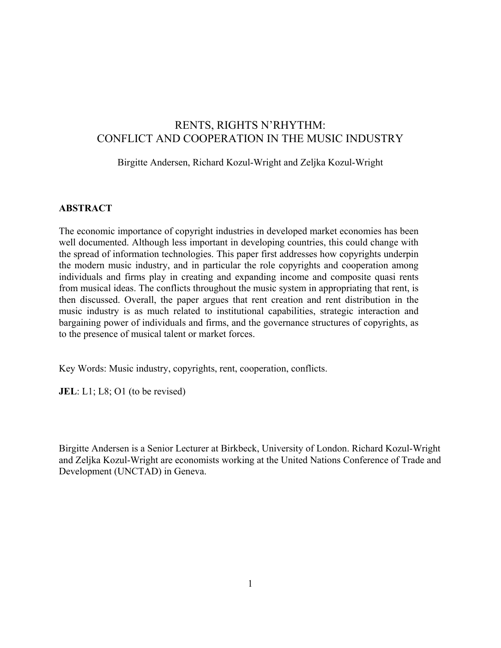# RENTS, RIGHTS N'RHYTHM: CONFLICT AND COOPERATION IN THE MUSIC INDUSTRY

## Birgitte Andersen, Richard Kozul-Wright and Zeljka Kozul-Wright

## **ABSTRACT**

The economic importance of copyright industries in developed market economies has been well documented. Although less important in developing countries, this could change with the spread of information technologies. This paper first addresses how copyrights underpin the modern music industry, and in particular the role copyrights and cooperation among individuals and firms play in creating and expanding income and composite quasi rents from musical ideas. The conflicts throughout the music system in appropriating that rent, is then discussed. Overall, the paper argues that rent creation and rent distribution in the music industry is as much related to institutional capabilities, strategic interaction and bargaining power of individuals and firms, and the governance structures of copyrights, as to the presence of musical talent or market forces.

Key Words: Music industry, copyrights, rent, cooperation, conflicts.

**JEL**: L1; L8; O1 (to be revised)

Birgitte Andersen is a Senior Lecturer at Birkbeck, University of London. Richard Kozul-Wright and Zeljka Kozul-Wright are economists working at the United Nations Conference of Trade and Development (UNCTAD) in Geneva.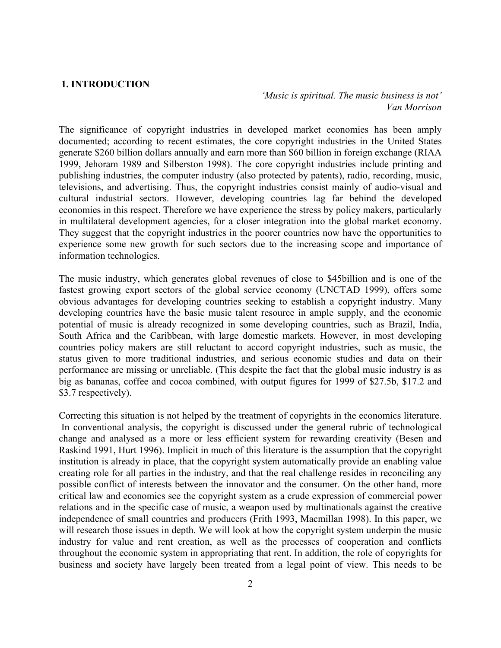#### **1. INTRODUCTION**

*'Music is spiritual. The music business is not' Van Morrison*

The significance of copyright industries in developed market economies has been amply documented; according to recent estimates, the core copyright industries in the United States generate \$260 billion dollars annually and earn more than \$60 billion in foreign exchange (RIAA 1999, Jehoram 1989 and Silberston 1998). The core copyright industries include printing and publishing industries, the computer industry (also protected by patents), radio, recording, music, televisions, and advertising. Thus, the copyright industries consist mainly of audio-visual and cultural industrial sectors. However, developing countries lag far behind the developed economies in this respect. Therefore we have experience the stress by policy makers, particularly in multilateral development agencies, for a closer integration into the global market economy. They suggest that the copyright industries in the poorer countries now have the opportunities to experience some new growth for such sectors due to the increasing scope and importance of information technologies.

The music industry, which generates global revenues of close to \$45billion and is one of the fastest growing export sectors of the global service economy (UNCTAD 1999), offers some obvious advantages for developing countries seeking to establish a copyright industry. Many developing countries have the basic music talent resource in ample supply, and the economic potential of music is already recognized in some developing countries, such as Brazil, India, South Africa and the Caribbean, with large domestic markets. However, in most developing countries policy makers are still reluctant to accord copyright industries, such as music, the status given to more traditional industries, and serious economic studies and data on their performance are missing or unreliable. (This despite the fact that the global music industry is as big as bananas, coffee and cocoa combined, with output figures for 1999 of \$27.5b, \$17.2 and \$3.7 respectively).

Correcting this situation is not helped by the treatment of copyrights in the economics literature. In conventional analysis, the copyright is discussed under the general rubric of technological change and analysed as a more or less efficient system for rewarding creativity (Besen and Raskind 1991, Hurt 1996). Implicit in much of this literature is the assumption that the copyright institution is already in place, that the copyright system automatically provide an enabling value creating role for all parties in the industry, and that the real challenge resides in reconciling any possible conflict of interests between the innovator and the consumer. On the other hand, more critical law and economics see the copyright system as a crude expression of commercial power relations and in the specific case of music, a weapon used by multinationals against the creative independence of small countries and producers (Frith 1993, Macmillan 1998). In this paper, we will research those issues in depth. We will look at how the copyright system underpin the music industry for value and rent creation, as well as the processes of cooperation and conflicts throughout the economic system in appropriating that rent. In addition, the role of copyrights for business and society have largely been treated from a legal point of view. This needs to be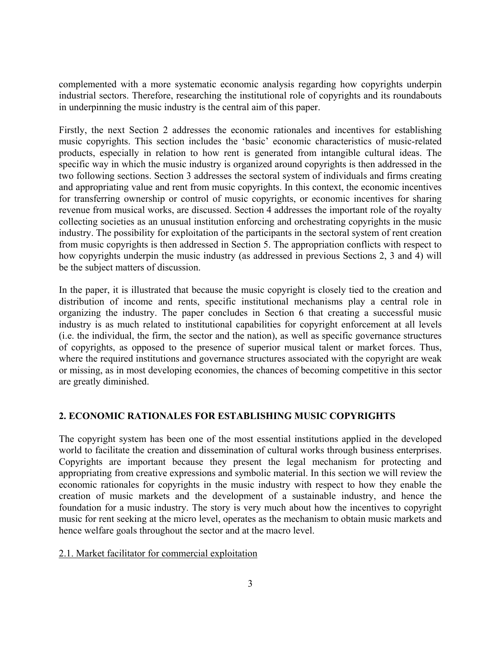complemented with a more systematic economic analysis regarding how copyrights underpin industrial sectors. Therefore, researching the institutional role of copyrights and its roundabouts in underpinning the music industry is the central aim of this paper.

Firstly, the next Section 2 addresses the economic rationales and incentives for establishing music copyrights. This section includes the 'basic' economic characteristics of music-related products, especially in relation to how rent is generated from intangible cultural ideas. The specific way in which the music industry is organized around copyrights is then addressed in the two following sections. Section 3 addresses the sectoral system of individuals and firms creating and appropriating value and rent from music copyrights. In this context, the economic incentives for transferring ownership or control of music copyrights, or economic incentives for sharing revenue from musical works, are discussed. Section 4 addresses the important role of the royalty collecting societies as an unusual institution enforcing and orchestrating copyrights in the music industry. The possibility for exploitation of the participants in the sectoral system of rent creation from music copyrights is then addressed in Section 5. The appropriation conflicts with respect to how copyrights underpin the music industry (as addressed in previous Sections 2, 3 and 4) will be the subject matters of discussion.

In the paper, it is illustrated that because the music copyright is closely tied to the creation and distribution of income and rents, specific institutional mechanisms play a central role in organizing the industry. The paper concludes in Section 6 that creating a successful music industry is as much related to institutional capabilities for copyright enforcement at all levels (i.e. the individual, the firm, the sector and the nation), as well as specific governance structures of copyrights, as opposed to the presence of superior musical talent or market forces. Thus, where the required institutions and governance structures associated with the copyright are weak or missing, as in most developing economies, the chances of becoming competitive in this sector are greatly diminished.

## **2. ECONOMIC RATIONALES FOR ESTABLISHING MUSIC COPYRIGHTS**

The copyright system has been one of the most essential institutions applied in the developed world to facilitate the creation and dissemination of cultural works through business enterprises. Copyrights are important because they present the legal mechanism for protecting and appropriating from creative expressions and symbolic material. In this section we will review the economic rationales for copyrights in the music industry with respect to how they enable the creation of music markets and the development of a sustainable industry, and hence the foundation for a music industry. The story is very much about how the incentives to copyright music for rent seeking at the micro level, operates as the mechanism to obtain music markets and hence welfare goals throughout the sector and at the macro level.

## 2.1. Market facilitator for commercial exploitation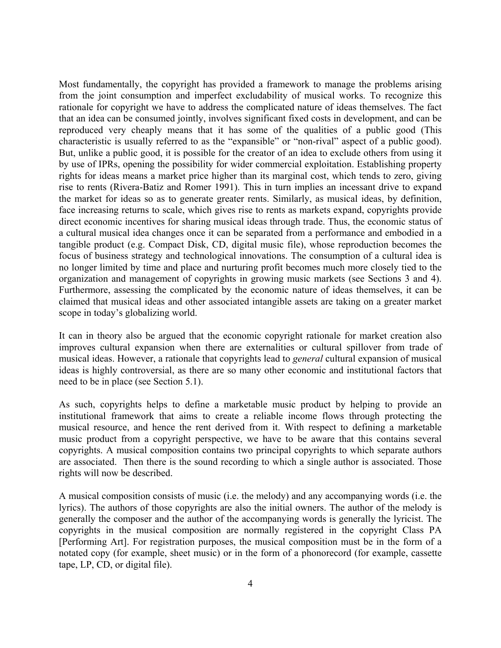Most fundamentally, the copyright has provided a framework to manage the problems arising from the joint consumption and imperfect excludability of musical works. To recognize this rationale for copyright we have to address the complicated nature of ideas themselves. The fact that an idea can be consumed jointly, involves significant fixed costs in development, and can be reproduced very cheaply means that it has some of the qualities of a public good (This characteristic is usually referred to as the "expansible" or "non-rival" aspect of a public good). But, unlike a public good, it is possible for the creator of an idea to exclude others from using it by use of IPRs, opening the possibility for wider commercial exploitation. Establishing property rights for ideas means a market price higher than its marginal cost, which tends to zero, giving rise to rents (Rivera-Batiz and Romer 1991). This in turn implies an incessant drive to expand the market for ideas so as to generate greater rents. Similarly, as musical ideas, by definition, face increasing returns to scale, which gives rise to rents as markets expand, copyrights provide direct economic incentives for sharing musical ideas through trade. Thus, the economic status of a cultural musical idea changes once it can be separated from a performance and embodied in a tangible product (e.g. Compact Disk, CD, digital music file), whose reproduction becomes the focus of business strategy and technological innovations. The consumption of a cultural idea is no longer limited by time and place and nurturing profit becomes much more closely tied to the organization and management of copyrights in growing music markets (see Sections 3 and 4). Furthermore, assessing the complicated by the economic nature of ideas themselves, it can be claimed that musical ideas and other associated intangible assets are taking on a greater market scope in today's globalizing world.

It can in theory also be argued that the economic copyright rationale for market creation also improves cultural expansion when there are externalities or cultural spillover from trade of musical ideas. However, a rationale that copyrights lead to *general* cultural expansion of musical ideas is highly controversial, as there are so many other economic and institutional factors that need to be in place (see Section 5.1).

As such, copyrights helps to define a marketable music product by helping to provide an institutional framework that aims to create a reliable income flows through protecting the musical resource, and hence the rent derived from it. With respect to defining a marketable music product from a copyright perspective, we have to be aware that this contains several copyrights. A musical composition contains two principal copyrights to which separate authors are associated. Then there is the sound recording to which a single author is associated. Those rights will now be described.

A musical composition consists of music (i.e. the melody) and any accompanying words (i.e. the lyrics). The authors of those copyrights are also the initial owners. The author of the melody is generally the composer and the author of the accompanying words is generally the lyricist. The copyrights in the musical composition are normally registered in the copyright Class PA [Performing Art]. For registration purposes, the musical composition must be in the form of a notated copy (for example, sheet music) or in the form of a phonorecord (for example, cassette tape, LP, CD, or digital file).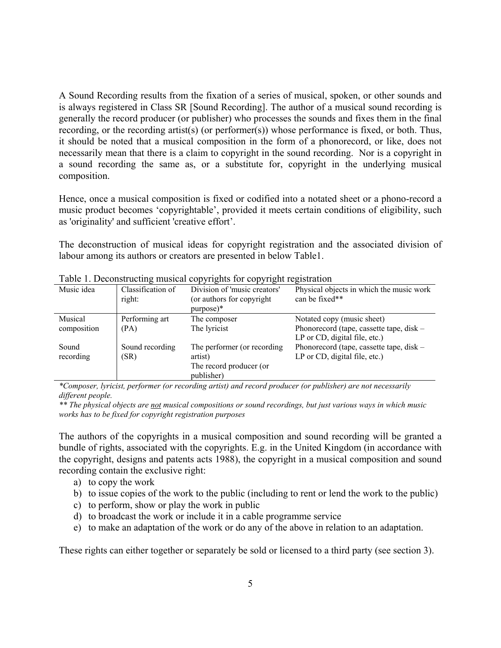A Sound Recording results from the fixation of a series of musical, spoken, or other sounds and is always registered in Class SR [Sound Recording]. The author of a musical sound recording is generally the record producer (or publisher) who processes the sounds and fixes them in the final recording, or the recording artist(s) (or performer(s)) whose performance is fixed, or both. Thus, it should be noted that a musical composition in the form of a phonorecord, or like, does not necessarily mean that there is a claim to copyright in the sound recording. Nor is a copyright in a sound recording the same as, or a substitute for, copyright in the underlying musical composition.

Hence, once a musical composition is fixed or codified into a notated sheet or a phono-record a music product becomes 'copyrightable', provided it meets certain conditions of eligibility, such as 'originality' and sufficient 'creative effort'.

The deconstruction of musical ideas for copyright registration and the associated division of labour among its authors or creators are presented in below Table1.

| Table 1. Deconstructing musical copyrights for copyright registration |                   |                              |                                          |
|-----------------------------------------------------------------------|-------------------|------------------------------|------------------------------------------|
| Music idea                                                            | Classification of | Division of 'music creators' | Physical objects in which the music work |
|                                                                       | right:            | (or authors for copyright)   | can be fixed**                           |
|                                                                       |                   | $purpose)*$                  |                                          |
| Musical                                                               | Performing art    | The composer                 | Notated copy (music sheet)               |
| composition                                                           | (PA)              | The lyricist                 | Phonorecord (tape, cassette tape, disk – |
|                                                                       |                   |                              | LP or $CD$ , digital file, etc.)         |
| Sound                                                                 | Sound recording   | The performer (or recording  | Phonorecord (tape, cassette tape, disk – |
| recording                                                             | (SR)              | artist)                      | LP or CD, digital file, etc.)            |
|                                                                       |                   | The record producer (or      |                                          |
|                                                                       |                   | publisher)                   |                                          |

Table 1. Deconstructing musical copyrights for copyright registration

*\*Composer, lyricist, performer (or recording artist) and record producer (or publisher) are not necessarily different people.* 

*\*\* The physical objects are not musical compositions or sound recordings, but just various ways in which music works has to be fixed for copyright registration purposes* 

The authors of the copyrights in a musical composition and sound recording will be granted a bundle of rights, associated with the copyrights. E.g. in the United Kingdom (in accordance with the copyright, designs and patents acts 1988), the copyright in a musical composition and sound recording contain the exclusive right:

- a) to copy the work
- b) to issue copies of the work to the public (including to rent or lend the work to the public)
- c) to perform, show or play the work in public
- d) to broadcast the work or include it in a cable programme service
- e) to make an adaptation of the work or do any of the above in relation to an adaptation.

These rights can either together or separately be sold or licensed to a third party (see section 3).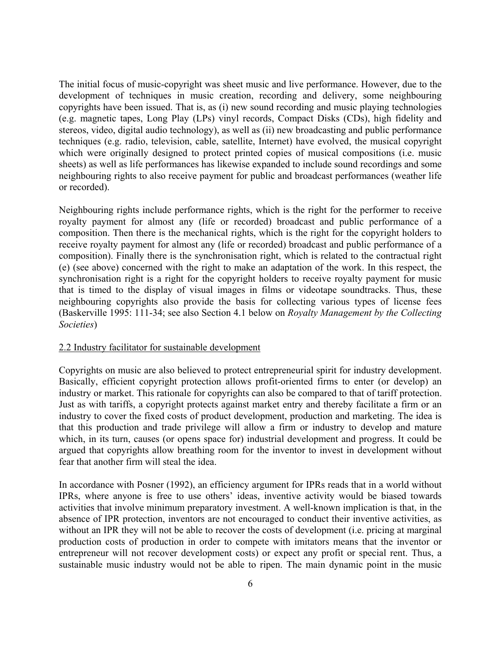The initial focus of music-copyright was sheet music and live performance. However, due to the development of techniques in music creation, recording and delivery, some neighbouring copyrights have been issued. That is, as (i) new sound recording and music playing technologies (e.g. magnetic tapes, Long Play (LPs) vinyl records, Compact Disks (CDs), high fidelity and stereos, video, digital audio technology), as well as (ii) new broadcasting and public performance techniques (e.g. radio, television, cable, satellite, Internet) have evolved, the musical copyright which were originally designed to protect printed copies of musical compositions (i.e. music sheets) as well as life performances has likewise expanded to include sound recordings and some neighbouring rights to also receive payment for public and broadcast performances (weather life or recorded).

Neighbouring rights include performance rights, which is the right for the performer to receive royalty payment for almost any (life or recorded) broadcast and public performance of a composition. Then there is the mechanical rights, which is the right for the copyright holders to receive royalty payment for almost any (life or recorded) broadcast and public performance of a composition). Finally there is the synchronisation right, which is related to the contractual right (e) (see above) concerned with the right to make an adaptation of the work. In this respect, the synchronisation right is a right for the copyright holders to receive royalty payment for music that is timed to the display of visual images in films or videotape soundtracks. Thus, these neighbouring copyrights also provide the basis for collecting various types of license fees (Baskerville 1995: 111-34; see also Section 4.1 below on *Royalty Management by the Collecting Societies*)

## 2.2 Industry facilitator for sustainable development

Copyrights on music are also believed to protect entrepreneurial spirit for industry development. Basically, efficient copyright protection allows profit-oriented firms to enter (or develop) an industry or market. This rationale for copyrights can also be compared to that of tariff protection. Just as with tariffs, a copyright protects against market entry and thereby facilitate a firm or an industry to cover the fixed costs of product development, production and marketing. The idea is that this production and trade privilege will allow a firm or industry to develop and mature which, in its turn, causes (or opens space for) industrial development and progress. It could be argued that copyrights allow breathing room for the inventor to invest in development without fear that another firm will steal the idea.

In accordance with Posner (1992), an efficiency argument for IPRs reads that in a world without IPRs, where anyone is free to use others' ideas, inventive activity would be biased towards activities that involve minimum preparatory investment. A well-known implication is that, in the absence of IPR protection, inventors are not encouraged to conduct their inventive activities, as without an IPR they will not be able to recover the costs of development (i.e. pricing at marginal production costs of production in order to compete with imitators means that the inventor or entrepreneur will not recover development costs) or expect any profit or special rent. Thus, a sustainable music industry would not be able to ripen. The main dynamic point in the music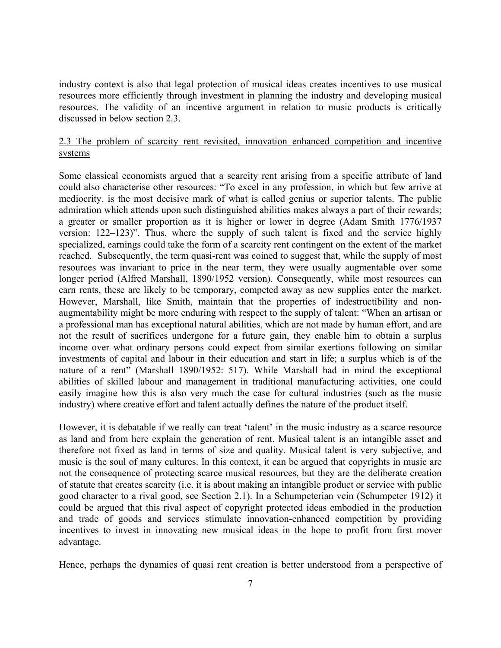industry context is also that legal protection of musical ideas creates incentives to use musical resources more efficiently through investment in planning the industry and developing musical resources. The validity of an incentive argument in relation to music products is critically discussed in below section 2.3.

## 2.3 The problem of scarcity rent revisited, innovation enhanced competition and incentive systems

Some classical economists argued that a scarcity rent arising from a specific attribute of land could also characterise other resources: "To excel in any profession, in which but few arrive at mediocrity, is the most decisive mark of what is called genius or superior talents. The public admiration which attends upon such distinguished abilities makes always a part of their rewards; a greater or smaller proportion as it is higher or lower in degree (Adam Smith 1776/1937 version: 122–123)". Thus, where the supply of such talent is fixed and the service highly specialized, earnings could take the form of a scarcity rent contingent on the extent of the market reached. Subsequently, the term quasi-rent was coined to suggest that, while the supply of most resources was invariant to price in the near term, they were usually augmentable over some longer period (Alfred Marshall, 1890/1952 version). Consequently, while most resources can earn rents, these are likely to be temporary, competed away as new supplies enter the market. However, Marshall, like Smith, maintain that the properties of indestructibility and nonaugmentability might be more enduring with respect to the supply of talent: "When an artisan or a professional man has exceptional natural abilities, which are not made by human effort, and are not the result of sacrifices undergone for a future gain, they enable him to obtain a surplus income over what ordinary persons could expect from similar exertions following on similar investments of capital and labour in their education and start in life; a surplus which is of the nature of a rent" (Marshall 1890/1952: 517). While Marshall had in mind the exceptional abilities of skilled labour and management in traditional manufacturing activities, one could easily imagine how this is also very much the case for cultural industries (such as the music industry) where creative effort and talent actually defines the nature of the product itself.

However, it is debatable if we really can treat 'talent' in the music industry as a scarce resource as land and from here explain the generation of rent. Musical talent is an intangible asset and therefore not fixed as land in terms of size and quality. Musical talent is very subjective, and music is the soul of many cultures. In this context, it can be argued that copyrights in music are not the consequence of protecting scarce musical resources, but they are the deliberate creation of statute that creates scarcity (i.e. it is about making an intangible product or service with public good character to a rival good, see Section 2.1). In a Schumpeterian vein (Schumpeter 1912) it could be argued that this rival aspect of copyright protected ideas embodied in the production and trade of goods and services stimulate innovation-enhanced competition by providing incentives to invest in innovating new musical ideas in the hope to profit from first mover advantage.

Hence, perhaps the dynamics of quasi rent creation is better understood from a perspective of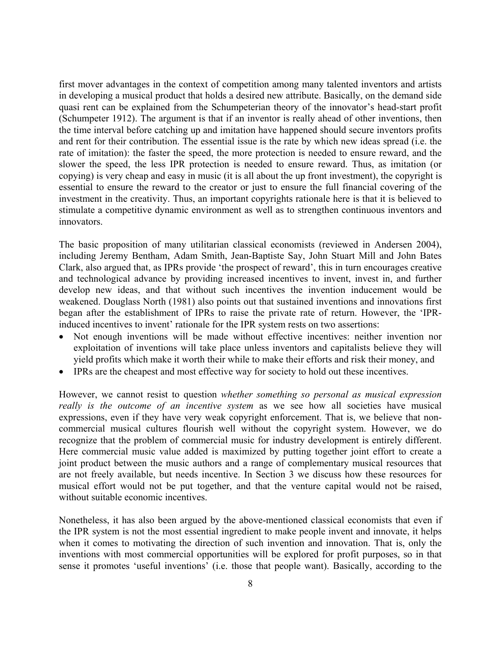first mover advantages in the context of competition among many talented inventors and artists in developing a musical product that holds a desired new attribute. Basically, on the demand side quasi rent can be explained from the Schumpeterian theory of the innovator's head-start profit (Schumpeter 1912). The argument is that if an inventor is really ahead of other inventions, then the time interval before catching up and imitation have happened should secure inventors profits and rent for their contribution. The essential issue is the rate by which new ideas spread (i.e. the rate of imitation): the faster the speed, the more protection is needed to ensure reward, and the slower the speed, the less IPR protection is needed to ensure reward. Thus, as imitation (or copying) is very cheap and easy in music (it is all about the up front investment), the copyright is essential to ensure the reward to the creator or just to ensure the full financial covering of the investment in the creativity. Thus, an important copyrights rationale here is that it is believed to stimulate a competitive dynamic environment as well as to strengthen continuous inventors and innovators.

The basic proposition of many utilitarian classical economists (reviewed in Andersen 2004), including Jeremy Bentham, Adam Smith, Jean-Baptiste Say, John Stuart Mill and John Bates Clark, also argued that, as IPRs provide 'the prospect of reward', this in turn encourages creative and technological advance by providing increased incentives to invent, invest in, and further develop new ideas, and that without such incentives the invention inducement would be weakened. Douglass North (1981) also points out that sustained inventions and innovations first began after the establishment of IPRs to raise the private rate of return. However, the 'IPRinduced incentives to invent' rationale for the IPR system rests on two assertions:

- Not enough inventions will be made without effective incentives: neither invention nor exploitation of inventions will take place unless inventors and capitalists believe they will yield profits which make it worth their while to make their efforts and risk their money, and
- IPRs are the cheapest and most effective way for society to hold out these incentives.

However, we cannot resist to question *whether something so personal as musical expression really is the outcome of an incentive system* as we see how all societies have musical expressions, even if they have very weak copyright enforcement. That is, we believe that noncommercial musical cultures flourish well without the copyright system. However, we do recognize that the problem of commercial music for industry development is entirely different. Here commercial music value added is maximized by putting together joint effort to create a joint product between the music authors and a range of complementary musical resources that are not freely available, but needs incentive. In Section 3 we discuss how these resources for musical effort would not be put together, and that the venture capital would not be raised, without suitable economic incentives.

Nonetheless, it has also been argued by the above-mentioned classical economists that even if the IPR system is not the most essential ingredient to make people invent and innovate, it helps when it comes to motivating the direction of such invention and innovation. That is, only the inventions with most commercial opportunities will be explored for profit purposes, so in that sense it promotes 'useful inventions' (i.e. those that people want). Basically, according to the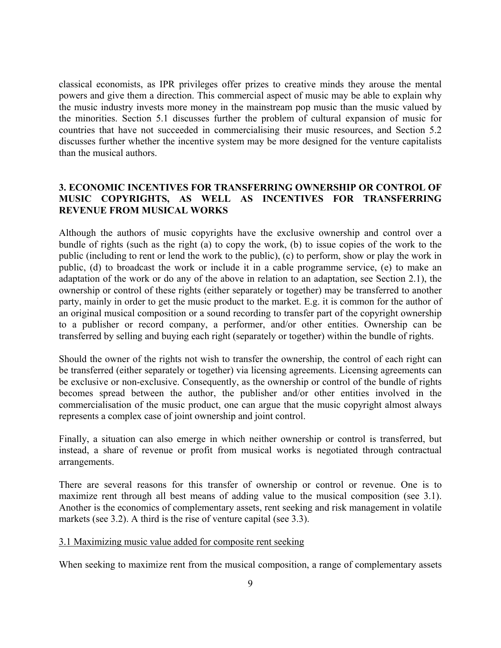classical economists, as IPR privileges offer prizes to creative minds they arouse the mental powers and give them a direction. This commercial aspect of music may be able to explain why the music industry invests more money in the mainstream pop music than the music valued by the minorities. Section 5.1 discusses further the problem of cultural expansion of music for countries that have not succeeded in commercialising their music resources, and Section 5.2 discusses further whether the incentive system may be more designed for the venture capitalists than the musical authors.

## **3. ECONOMIC INCENTIVES FOR TRANSFERRING OWNERSHIP OR CONTROL OF MUSIC COPYRIGHTS, AS WELL AS INCENTIVES FOR TRANSFERRING REVENUE FROM MUSICAL WORKS**

Although the authors of music copyrights have the exclusive ownership and control over a bundle of rights (such as the right (a) to copy the work, (b) to issue copies of the work to the public (including to rent or lend the work to the public), (c) to perform, show or play the work in public, (d) to broadcast the work or include it in a cable programme service, (e) to make an adaptation of the work or do any of the above in relation to an adaptation, see Section 2.1), the ownership or control of these rights (either separately or together) may be transferred to another party, mainly in order to get the music product to the market. E.g. it is common for the author of an original musical composition or a sound recording to transfer part of the copyright ownership to a publisher or record company, a performer, and/or other entities. Ownership can be transferred by selling and buying each right (separately or together) within the bundle of rights.

Should the owner of the rights not wish to transfer the ownership, the control of each right can be transferred (either separately or together) via licensing agreements. Licensing agreements can be exclusive or non-exclusive. Consequently, as the ownership or control of the bundle of rights becomes spread between the author, the publisher and/or other entities involved in the commercialisation of the music product, one can argue that the music copyright almost always represents a complex case of joint ownership and joint control.

Finally, a situation can also emerge in which neither ownership or control is transferred, but instead, a share of revenue or profit from musical works is negotiated through contractual arrangements.

There are several reasons for this transfer of ownership or control or revenue. One is to maximize rent through all best means of adding value to the musical composition (see 3.1). Another is the economics of complementary assets, rent seeking and risk management in volatile markets (see 3.2). A third is the rise of venture capital (see 3.3).

## 3.1 Maximizing music value added for composite rent seeking

When seeking to maximize rent from the musical composition, a range of complementary assets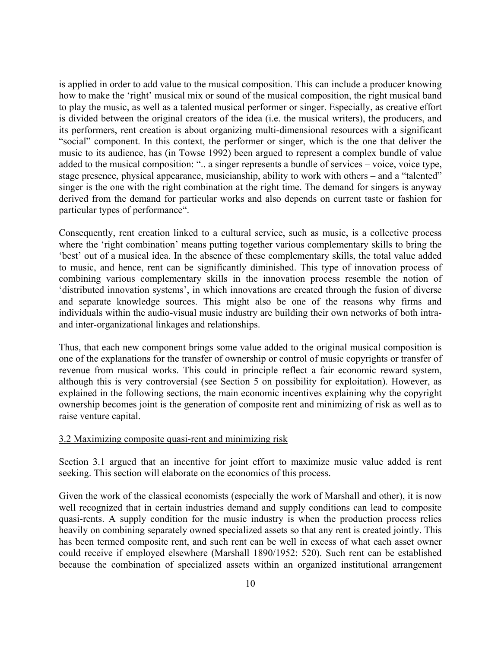is applied in order to add value to the musical composition. This can include a producer knowing how to make the 'right' musical mix or sound of the musical composition, the right musical band to play the music, as well as a talented musical performer or singer. Especially, as creative effort is divided between the original creators of the idea (i.e. the musical writers), the producers, and its performers, rent creation is about organizing multi-dimensional resources with a significant "social" component. In this context, the performer or singer, which is the one that deliver the music to its audience, has (in Towse 1992) been argued to represent a complex bundle of value added to the musical composition: ".. a singer represents a bundle of services – voice, voice type, stage presence, physical appearance, musicianship, ability to work with others – and a "talented" singer is the one with the right combination at the right time. The demand for singers is anyway derived from the demand for particular works and also depends on current taste or fashion for particular types of performance".

Consequently, rent creation linked to a cultural service, such as music, is a collective process where the 'right combination' means putting together various complementary skills to bring the 'best' out of a musical idea. In the absence of these complementary skills, the total value added to music, and hence, rent can be significantly diminished. This type of innovation process of combining various complementary skills in the innovation process resemble the notion of 'distributed innovation systems', in which innovations are created through the fusion of diverse and separate knowledge sources. This might also be one of the reasons why firms and individuals within the audio-visual music industry are building their own networks of both intraand inter-organizational linkages and relationships.

Thus, that each new component brings some value added to the original musical composition is one of the explanations for the transfer of ownership or control of music copyrights or transfer of revenue from musical works. This could in principle reflect a fair economic reward system, although this is very controversial (see Section 5 on possibility for exploitation). However, as explained in the following sections, the main economic incentives explaining why the copyright ownership becomes joint is the generation of composite rent and minimizing of risk as well as to raise venture capital.

## 3.2 Maximizing composite quasi-rent and minimizing risk

Section 3.1 argued that an incentive for joint effort to maximize music value added is rent seeking. This section will elaborate on the economics of this process.

Given the work of the classical economists (especially the work of Marshall and other), it is now well recognized that in certain industries demand and supply conditions can lead to composite quasi-rents. A supply condition for the music industry is when the production process relies heavily on combining separately owned specialized assets so that any rent is created jointly. This has been termed composite rent, and such rent can be well in excess of what each asset owner could receive if employed elsewhere (Marshall 1890/1952: 520). Such rent can be established because the combination of specialized assets within an organized institutional arrangement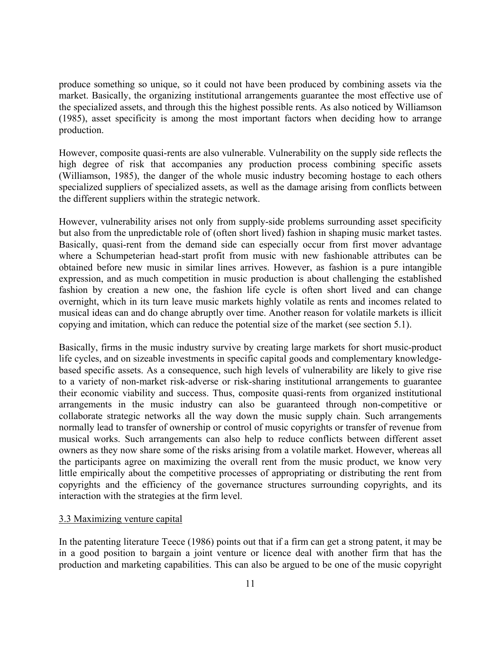produce something so unique, so it could not have been produced by combining assets via the market. Basically, the organizing institutional arrangements guarantee the most effective use of the specialized assets, and through this the highest possible rents. As also noticed by Williamson (1985), asset specificity is among the most important factors when deciding how to arrange production.

However, composite quasi-rents are also vulnerable. Vulnerability on the supply side reflects the high degree of risk that accompanies any production process combining specific assets (Williamson, 1985), the danger of the whole music industry becoming hostage to each others specialized suppliers of specialized assets, as well as the damage arising from conflicts between the different suppliers within the strategic network.

However, vulnerability arises not only from supply-side problems surrounding asset specificity but also from the unpredictable role of (often short lived) fashion in shaping music market tastes. Basically, quasi-rent from the demand side can especially occur from first mover advantage where a Schumpeterian head-start profit from music with new fashionable attributes can be obtained before new music in similar lines arrives. However, as fashion is a pure intangible expression, and as much competition in music production is about challenging the established fashion by creation a new one, the fashion life cycle is often short lived and can change overnight, which in its turn leave music markets highly volatile as rents and incomes related to musical ideas can and do change abruptly over time. Another reason for volatile markets is illicit copying and imitation, which can reduce the potential size of the market (see section 5.1).

Basically, firms in the music industry survive by creating large markets for short music-product life cycles, and on sizeable investments in specific capital goods and complementary knowledgebased specific assets. As a consequence, such high levels of vulnerability are likely to give rise to a variety of non-market risk-adverse or risk-sharing institutional arrangements to guarantee their economic viability and success. Thus, composite quasi-rents from organized institutional arrangements in the music industry can also be guaranteed through non-competitive or collaborate strategic networks all the way down the music supply chain. Such arrangements normally lead to transfer of ownership or control of music copyrights or transfer of revenue from musical works. Such arrangements can also help to reduce conflicts between different asset owners as they now share some of the risks arising from a volatile market. However, whereas all the participants agree on maximizing the overall rent from the music product, we know very little empirically about the competitive processes of appropriating or distributing the rent from copyrights and the efficiency of the governance structures surrounding copyrights, and its interaction with the strategies at the firm level.

## 3.3 Maximizing venture capital

In the patenting literature Teece (1986) points out that if a firm can get a strong patent, it may be in a good position to bargain a joint venture or licence deal with another firm that has the production and marketing capabilities. This can also be argued to be one of the music copyright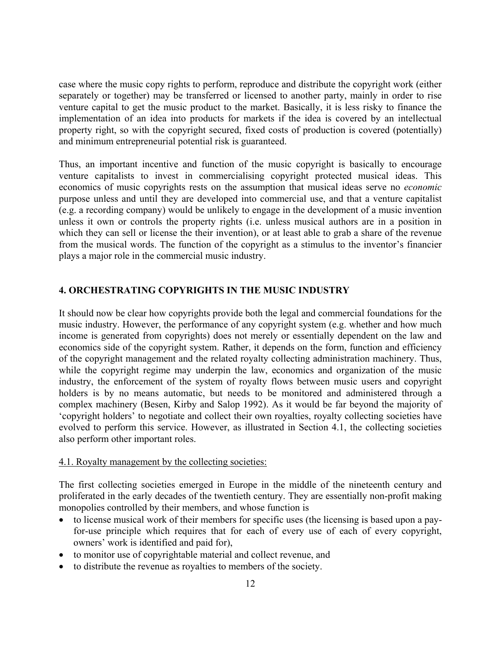case where the music copy rights to perform, reproduce and distribute the copyright work (either separately or together) may be transferred or licensed to another party, mainly in order to rise venture capital to get the music product to the market. Basically, it is less risky to finance the implementation of an idea into products for markets if the idea is covered by an intellectual property right, so with the copyright secured, fixed costs of production is covered (potentially) and minimum entrepreneurial potential risk is guaranteed.

Thus, an important incentive and function of the music copyright is basically to encourage venture capitalists to invest in commercialising copyright protected musical ideas. This economics of music copyrights rests on the assumption that musical ideas serve no *economic* purpose unless and until they are developed into commercial use, and that a venture capitalist (e.g. a recording company) would be unlikely to engage in the development of a music invention unless it own or controls the property rights (i.e. unless musical authors are in a position in which they can sell or license the their invention), or at least able to grab a share of the revenue from the musical words. The function of the copyright as a stimulus to the inventor's financier plays a major role in the commercial music industry.

## **4. ORCHESTRATING COPYRIGHTS IN THE MUSIC INDUSTRY**

It should now be clear how copyrights provide both the legal and commercial foundations for the music industry. However, the performance of any copyright system (e.g. whether and how much income is generated from copyrights) does not merely or essentially dependent on the law and economics side of the copyright system. Rather, it depends on the form, function and efficiency of the copyright management and the related royalty collecting administration machinery. Thus, while the copyright regime may underpin the law, economics and organization of the music industry, the enforcement of the system of royalty flows between music users and copyright holders is by no means automatic, but needs to be monitored and administered through a complex machinery (Besen, Kirby and Salop 1992). As it would be far beyond the majority of 'copyright holders' to negotiate and collect their own royalties, royalty collecting societies have evolved to perform this service. However, as illustrated in Section 4.1, the collecting societies also perform other important roles.

## 4.1. Royalty management by the collecting societies:

The first collecting societies emerged in Europe in the middle of the nineteenth century and proliferated in the early decades of the twentieth century. They are essentially non-profit making monopolies controlled by their members, and whose function is

- to license musical work of their members for specific uses (the licensing is based upon a payfor-use principle which requires that for each of every use of each of every copyright, owners' work is identified and paid for),
- to monitor use of copyrightable material and collect revenue, and
- to distribute the revenue as royalties to members of the society.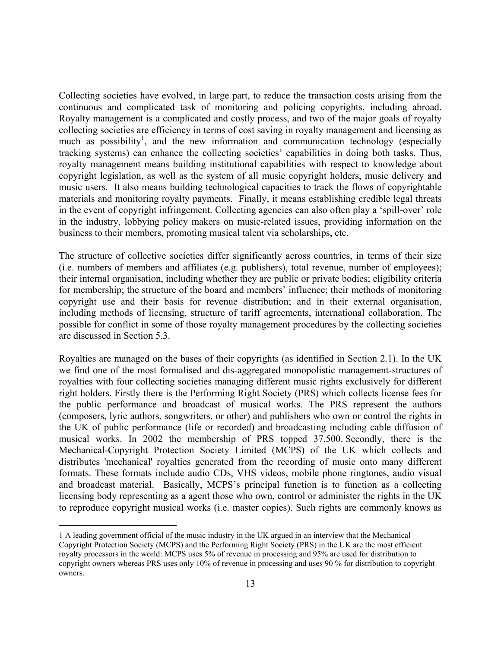Collecting societies have evolved, in large part, to reduce the transaction costs arising from the continuous and complicated task of monitoring and policing copyrights, including abroad. Royalty management is a complicated and costly process, and two of the major goals of royalty collecting societies are efficiency in terms of cost saving in royalty management and licensing as much as possibility<sup>[1](#page-12-0)</sup>, and the new information and communication technology (especially tracking systems) can enhance the collecting societies' capabilities in doing both tasks. Thus, royalty management means building institutional capabilities with respect to knowledge about copyright legislation, as well as the system of all music copyright holders, music delivery and music users. It also means building technological capacities to track the flows of copyrightable materials and monitoring royalty payments. Finally, it means establishing credible legal threats in the event of copyright infringement. Collecting agencies can also often play a 'spill-over' role in the industry, lobbying policy makers on music-related issues, providing information on the business to their members, promoting musical talent via scholarships, etc.

The structure of collective societies differ significantly across countries, in terms of their size (i.e. numbers of members and affiliates (e.g. publishers), total revenue, number of employees); their internal organisation, including whether they are public or private bodies; eligibility criteria for membership; the structure of the board and members' influence; their methods of monitoring copyright use and their basis for revenue distribution; and in their external organisation, including methods of licensing, structure of tariff agreements, international collaboration. The possible for conflict in some of those royalty management procedures by the collecting societies are discussed in Section 5.3.

Royalties are managed on the bases of their copyrights (as identified in Section 2.1). In the UK we find one of the most formalised and dis-aggregated monopolistic management-structures of royalties with four collecting societies managing different music rights exclusively for different right holders. Firstly there is the Performing Right Society (PRS) which collects license fees for the public performance and broadcast of musical works. The PRS represent the authors (composers, lyric authors, songwriters, or other) and publishers who own or control the rights in the UK of public performance (life or recorded) and broadcasting including cable diffusion of musical works. In 2002 the membership of PRS topped 37,500. Secondly, there is the Mechanical-Copyright Protection Society Limited (MCPS) of the UK which collects and distributes 'mechanical' royalties generated from the recording of music onto many different formats. These formats include audio CDs, VHS videos, mobile phone ringtones, audio visual and broadcast material. Basically, MCPS's principal function is to function as a collecting licensing body representing as a agent those who own, control or administer the rights in the UK to reproduce copyright musical works (i.e. master copies). Such rights are commonly knows as

 $\overline{a}$ 

<span id="page-12-0"></span><sup>1</sup> A leading government official of the music industry in the UK argued in an interview that the Mechanical Copyright Protection Society (MCPS) and the Performing Right Society (PRS) in the UK are the most efficient royalty processors in the world: MCPS uses 5% of revenue in processing and 95% are used for distribution to copyright owners whereas PRS uses only 10% of revenue in processing and uses 90 % for distribution to copyright owners.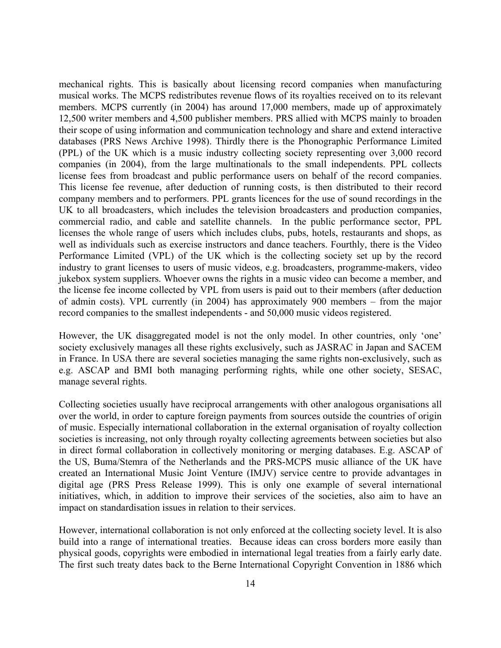mechanical rights. This is basically about licensing record companies when manufacturing musical works. The MCPS redistributes revenue flows of its royalties received on to its relevant members. MCPS currently (in 2004) has around 17,000 members, made up of approximately 12,500 writer members and 4,500 publisher members. PRS allied with MCPS mainly to broaden their scope of using information and communication technology and share and extend interactive databases (PRS News Archive 1998). Thirdly there is the Phonographic Performance Limited (PPL) of the UK which is a music industry collecting society representing over 3,000 record companies (in 2004), from the large multinationals to the small independents. PPL collects license fees from broadcast and public performance users on behalf of the record companies. This license fee revenue, after deduction of running costs, is then distributed to their record company members and to performers. PPL grants licences for the use of sound recordings in the UK to all broadcasters, which includes the television broadcasters and production companies, commercial radio, and cable and satellite channels. In the public performance sector, PPL licenses the whole range of users which includes clubs, pubs, hotels, restaurants and shops, as well as individuals such as exercise instructors and dance teachers. Fourthly, there is the Video Performance Limited (VPL) of the UK which is the collecting society set up by the record industry to grant licenses to users of music videos, e.g. broadcasters, programme-makers, video jukebox system suppliers. Whoever owns the rights in a music video can become a member, and the license fee income collected by VPL from users is paid out to their members (after deduction of admin costs). VPL currently (in 2004) has approximately 900 members – from the major record companies to the smallest independents - and 50,000 music videos registered.

However, the UK disaggregated model is not the only model. In other countries, only 'one' society exclusively manages all these rights exclusively, such as JASRAC in Japan and SACEM in France. In USA there are several societies managing the same rights non-exclusively, such as e.g. ASCAP and BMI both managing performing rights, while one other society, SESAC, manage several rights.

Collecting societies usually have reciprocal arrangements with other analogous organisations all over the world, in order to capture foreign payments from sources outside the countries of origin of music. Especially international collaboration in the external organisation of royalty collection societies is increasing, not only through royalty collecting agreements between societies but also in direct formal collaboration in collectively monitoring or merging databases. E.g. ASCAP of the US, Buma/Stemra of the Netherlands and the PRS-MCPS music alliance of the UK have created an International Music Joint Venture (IMJV) service centre to provide advantages in digital age (PRS Press Release 1999). This is only one example of several international initiatives, which, in addition to improve their services of the societies, also aim to have an impact on standardisation issues in relation to their services.

However, international collaboration is not only enforced at the collecting society level. It is also build into a range of international treaties. Because ideas can cross borders more easily than physical goods, copyrights were embodied in international legal treaties from a fairly early date. The first such treaty dates back to the Berne International Copyright Convention in 1886 which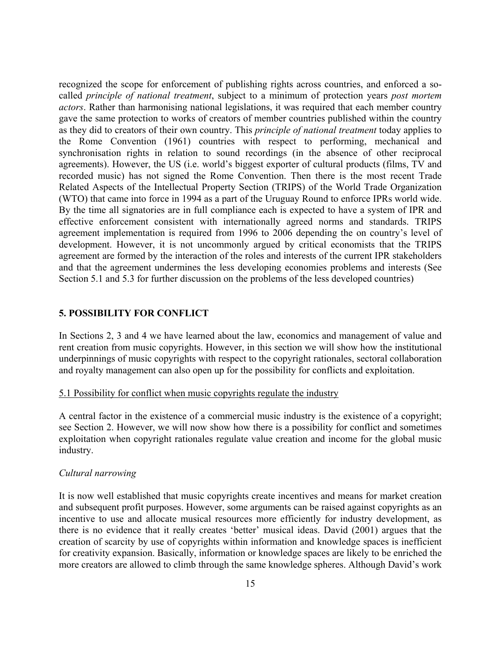recognized the scope for enforcement of publishing rights across countries, and enforced a socalled *principle of national treatment*, subject to a minimum of protection years *post mortem actors*. Rather than harmonising national legislations, it was required that each member country gave the same protection to works of creators of member countries published within the country as they did to creators of their own country. This *principle of national treatment* today applies to the Rome Convention (1961) countries with respect to performing, mechanical and synchronisation rights in relation to sound recordings (in the absence of other reciprocal agreements). However, the US (i.e. world's biggest exporter of cultural products (films, TV and recorded music) has not signed the Rome Convention. Then there is the most recent Trade Related Aspects of the Intellectual Property Section (TRIPS) of the World Trade Organization (WTO) that came into force in 1994 as a part of the Uruguay Round to enforce IPRs world wide. By the time all signatories are in full compliance each is expected to have a system of IPR and effective enforcement consistent with internationally agreed norms and standards. TRIPS agreement implementation is required from 1996 to 2006 depending the on country's level of development. However, it is not uncommonly argued by critical economists that the TRIPS agreement are formed by the interaction of the roles and interests of the current IPR stakeholders and that the agreement undermines the less developing economies problems and interests (See Section 5.1 and 5.3 for further discussion on the problems of the less developed countries)

## **5. POSSIBILITY FOR CONFLICT**

In Sections 2, 3 and 4 we have learned about the law, economics and management of value and rent creation from music copyrights. However, in this section we will show how the institutional underpinnings of music copyrights with respect to the copyright rationales, sectoral collaboration and royalty management can also open up for the possibility for conflicts and exploitation.

## 5.1 Possibility for conflict when music copyrights regulate the industry

A central factor in the existence of a commercial music industry is the existence of a copyright; see Section 2. However, we will now show how there is a possibility for conflict and sometimes exploitation when copyright rationales regulate value creation and income for the global music industry.

## *Cultural narrowing*

It is now well established that music copyrights create incentives and means for market creation and subsequent profit purposes. However, some arguments can be raised against copyrights as an incentive to use and allocate musical resources more efficiently for industry development, as there is no evidence that it really creates 'better' musical ideas. David (2001) argues that the creation of scarcity by use of copyrights within information and knowledge spaces is inefficient for creativity expansion. Basically, information or knowledge spaces are likely to be enriched the more creators are allowed to climb through the same knowledge spheres. Although David's work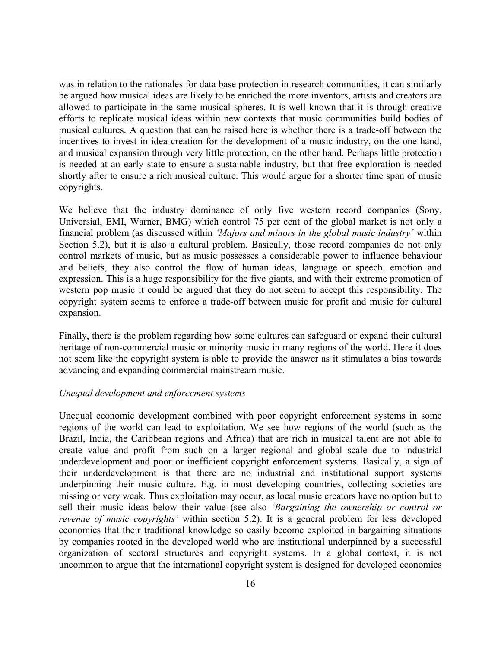was in relation to the rationales for data base protection in research communities, it can similarly be argued how musical ideas are likely to be enriched the more inventors, artists and creators are allowed to participate in the same musical spheres. It is well known that it is through creative efforts to replicate musical ideas within new contexts that music communities build bodies of musical cultures. A question that can be raised here is whether there is a trade-off between the incentives to invest in idea creation for the development of a music industry, on the one hand, and musical expansion through very little protection, on the other hand. Perhaps little protection is needed at an early state to ensure a sustainable industry, but that free exploration is needed shortly after to ensure a rich musical culture. This would argue for a shorter time span of music copyrights.

We believe that the industry dominance of only five western record companies (Sony, Universial, EMI, Warner, BMG) which control 75 per cent of the global market is not only a financial problem (as discussed within *'Majors and minors in the global music industry'* within Section 5.2), but it is also a cultural problem. Basically, those record companies do not only control markets of music, but as music possesses a considerable power to influence behaviour and beliefs, they also control the flow of human ideas, language or speech, emotion and expression. This is a huge responsibility for the five giants, and with their extreme promotion of western pop music it could be argued that they do not seem to accept this responsibility. The copyright system seems to enforce a trade-off between music for profit and music for cultural expansion.

Finally, there is the problem regarding how some cultures can safeguard or expand their cultural heritage of non-commercial music or minority music in many regions of the world. Here it does not seem like the copyright system is able to provide the answer as it stimulates a bias towards advancing and expanding commercial mainstream music.

## *Unequal development and enforcement systems*

Unequal economic development combined with poor copyright enforcement systems in some regions of the world can lead to exploitation. We see how regions of the world (such as the Brazil, India, the Caribbean regions and Africa) that are rich in musical talent are not able to create value and profit from such on a larger regional and global scale due to industrial underdevelopment and poor or inefficient copyright enforcement systems. Basically, a sign of their underdevelopment is that there are no industrial and institutional support systems underpinning their music culture. E.g. in most developing countries, collecting societies are missing or very weak. Thus exploitation may occur, as local music creators have no option but to sell their music ideas below their value (see also *'Bargaining the ownership or control or revenue of music copyrights'* within section 5.2). It is a general problem for less developed economies that their traditional knowledge so easily become exploited in bargaining situations by companies rooted in the developed world who are institutional underpinned by a successful organization of sectoral structures and copyright systems. In a global context, it is not uncommon to argue that the international copyright system is designed for developed economies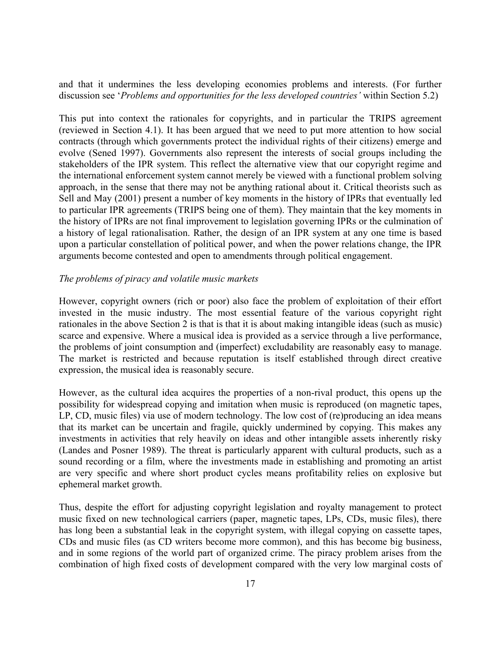and that it undermines the less developing economies problems and interests. (For further discussion see '*Problems and opportunities for the less developed countries'* within Section 5.2)

This put into context the rationales for copyrights, and in particular the TRIPS agreement (reviewed in Section 4.1). It has been argued that we need to put more attention to how social contracts (through which governments protect the individual rights of their citizens) emerge and evolve (Sened 1997). Governments also represent the interests of social groups including the stakeholders of the IPR system. This reflect the alternative view that our copyright regime and the international enforcement system cannot merely be viewed with a functional problem solving approach, in the sense that there may not be anything rational about it. Critical theorists such as Sell and May (2001) present a number of key moments in the history of IPRs that eventually led to particular IPR agreements (TRIPS being one of them). They maintain that the key moments in the history of IPRs are not final improvement to legislation governing IPRs or the culmination of a history of legal rationalisation. Rather, the design of an IPR system at any one time is based upon a particular constellation of political power, and when the power relations change, the IPR arguments become contested and open to amendments through political engagement.

## *The problems of piracy and volatile music markets*

However, copyright owners (rich or poor) also face the problem of exploitation of their effort invested in the music industry. The most essential feature of the various copyright right rationales in the above Section 2 is that is that it is about making intangible ideas (such as music) scarce and expensive. Where a musical idea is provided as a service through a live performance, the problems of joint consumption and (imperfect) excludability are reasonably easy to manage. The market is restricted and because reputation is itself established through direct creative expression, the musical idea is reasonably secure.

However, as the cultural idea acquires the properties of a non-rival product, this opens up the possibility for widespread copying and imitation when music is reproduced (on magnetic tapes, LP, CD, music files) via use of modern technology. The low cost of (re)producing an idea means that its market can be uncertain and fragile, quickly undermined by copying. This makes any investments in activities that rely heavily on ideas and other intangible assets inherently risky (Landes and Posner 1989). The threat is particularly apparent with cultural products, such as a sound recording or a film, where the investments made in establishing and promoting an artist are very specific and where short product cycles means profitability relies on explosive but ephemeral market growth.

Thus, despite the effort for adjusting copyright legislation and royalty management to protect music fixed on new technological carriers (paper, magnetic tapes, LPs, CDs, music files), there has long been a substantial leak in the copyright system, with illegal copying on cassette tapes, CDs and music files (as CD writers become more common), and this has become big business, and in some regions of the world part of organized crime. The piracy problem arises from the combination of high fixed costs of development compared with the very low marginal costs of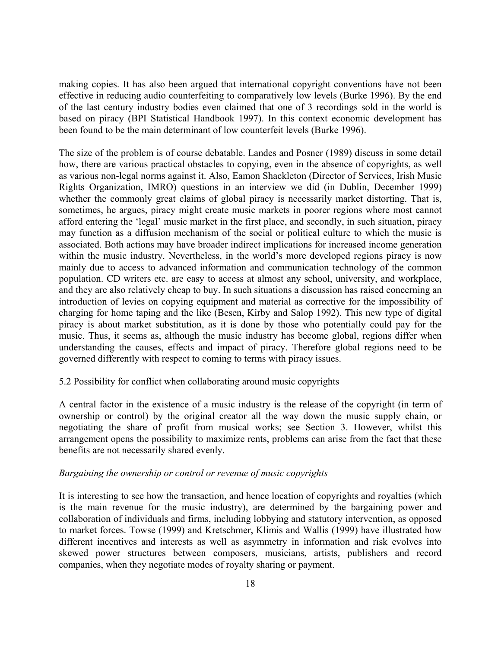making copies. It has also been argued that international copyright conventions have not been effective in reducing audio counterfeiting to comparatively low levels (Burke 1996). By the end of the last century industry bodies even claimed that one of 3 recordings sold in the world is based on piracy (BPI Statistical Handbook 1997). In this context economic development has been found to be the main determinant of low counterfeit levels (Burke 1996).

The size of the problem is of course debatable. Landes and Posner (1989) discuss in some detail how, there are various practical obstacles to copying, even in the absence of copyrights, as well as various non-legal norms against it. Also, Eamon Shackleton (Director of Services, Irish Music Rights Organization, IMRO) questions in an interview we did (in Dublin, December 1999) whether the commonly great claims of global piracy is necessarily market distorting. That is, sometimes, he argues, piracy might create music markets in poorer regions where most cannot afford entering the 'legal' music market in the first place, and secondly, in such situation, piracy may function as a diffusion mechanism of the social or political culture to which the music is associated. Both actions may have broader indirect implications for increased income generation within the music industry. Nevertheless, in the world's more developed regions piracy is now mainly due to access to advanced information and communication technology of the common population. CD writers etc. are easy to access at almost any school, university, and workplace, and they are also relatively cheap to buy. In such situations a discussion has raised concerning an introduction of levies on copying equipment and material as corrective for the impossibility of charging for home taping and the like (Besen, Kirby and Salop 1992). This new type of digital piracy is about market substitution, as it is done by those who potentially could pay for the music. Thus, it seems as, although the music industry has become global, regions differ when understanding the causes, effects and impact of piracy. Therefore global regions need to be governed differently with respect to coming to terms with piracy issues.

#### 5.2 Possibility for conflict when collaborating around music copyrights

A central factor in the existence of a music industry is the release of the copyright (in term of ownership or control) by the original creator all the way down the music supply chain, or negotiating the share of profit from musical works; see Section 3. However, whilst this arrangement opens the possibility to maximize rents, problems can arise from the fact that these benefits are not necessarily shared evenly.

## *Bargaining the ownership or control or revenue of music copyrights*

It is interesting to see how the transaction, and hence location of copyrights and royalties (which is the main revenue for the music industry), are determined by the bargaining power and collaboration of individuals and firms, including lobbying and statutory intervention, as opposed to market forces. Towse (1999) and Kretschmer, Klimis and Wallis (1999) have illustrated how different incentives and interests as well as asymmetry in information and risk evolves into skewed power structures between composers, musicians, artists, publishers and record companies, when they negotiate modes of royalty sharing or payment.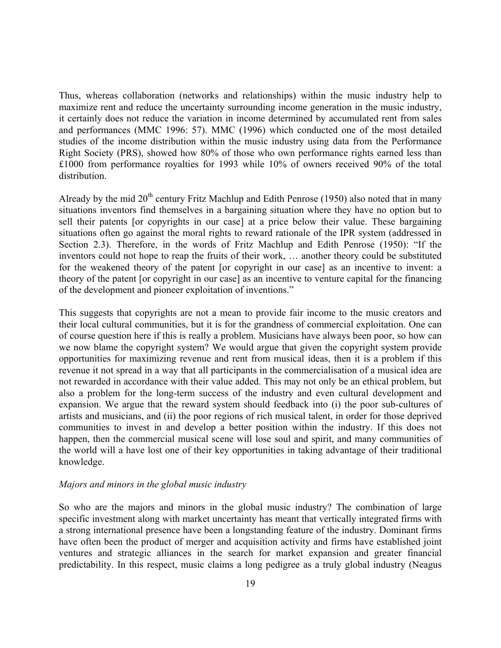Thus, whereas collaboration (networks and relationships) within the music industry help to maximize rent and reduce the uncertainty surrounding income generation in the music industry, it certainly does not reduce the variation in income determined by accumulated rent from sales and performances (MMC 1996: 57). MMC (1996) which conducted one of the most detailed studies of the income distribution within the music industry using data from the Performance Right Society (PRS), showed how 80% of those who own performance rights earned less than £1000 from performance royalties for 1993 while 10% of owners received 90% of the total distribution.

Already by the mid  $20<sup>th</sup>$  century Fritz Machlup and Edith Penrose (1950) also noted that in many situations inventors find themselves in a bargaining situation where they have no option but to sell their patents [or copyrights in our case] at a price below their value. These bargaining situations often go against the moral rights to reward rationale of the IPR system (addressed in Section 2.3). Therefore, in the words of Fritz Machlup and Edith Penrose (1950): "If the inventors could not hope to reap the fruits of their work, … another theory could be substituted for the weakened theory of the patent [or copyright in our case] as an incentive to invent: a theory of the patent [or copyright in our case] as an incentive to venture capital for the financing of the development and pioneer exploitation of inventions."

This suggests that copyrights are not a mean to provide fair income to the music creators and their local cultural communities, but it is for the grandness of commercial exploitation. One can of course question here if this is really a problem. Musicians have always been poor, so how can we now blame the copyright system? We would argue that given the copyright system provide opportunities for maximizing revenue and rent from musical ideas, then it is a problem if this revenue it not spread in a way that all participants in the commercialisation of a musical idea are not rewarded in accordance with their value added. This may not only be an ethical problem, but also a problem for the long-term success of the industry and even cultural development and expansion. We argue that the reward system should feedback into (i) the poor sub-cultures of artists and musicians, and (ii) the poor regions of rich musical talent, in order for those deprived communities to invest in and develop a better position within the industry. If this does not happen, then the commercial musical scene will lose soul and spirit, and many communities of the world will a have lost one of their key opportunities in taking advantage of their traditional knowledge.

#### *Majors and minors in the global music industry*

So who are the majors and minors in the global music industry? The combination of large specific investment along with market uncertainty has meant that vertically integrated firms with a strong international presence have been a longstanding feature of the industry. Dominant firms have often been the product of merger and acquisition activity and firms have established joint ventures and strategic alliances in the search for market expansion and greater financial predictability. In this respect, music claims a long pedigree as a truly global industry (Neagus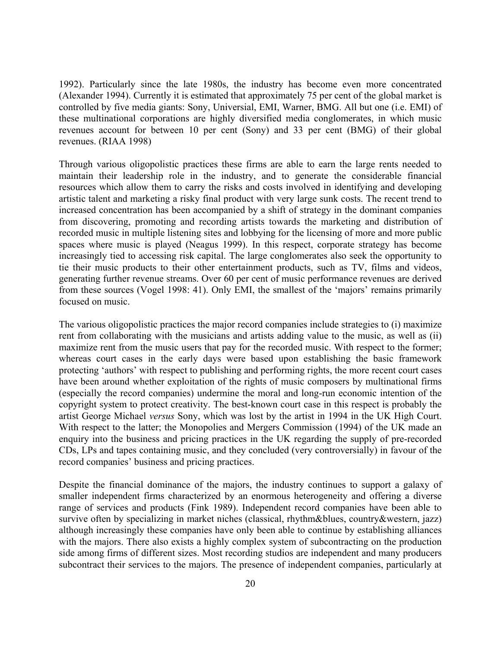1992). Particularly since the late 1980s, the industry has become even more concentrated (Alexander 1994). Currently it is estimated that approximately 75 per cent of the global market is controlled by five media giants: Sony, Universial, EMI, Warner, BMG. All but one (i.e. EMI) of these multinational corporations are highly diversified media conglomerates, in which music revenues account for between 10 per cent (Sony) and 33 per cent (BMG) of their global revenues. (RIAA 1998)

Through various oligopolistic practices these firms are able to earn the large rents needed to maintain their leadership role in the industry, and to generate the considerable financial resources which allow them to carry the risks and costs involved in identifying and developing artistic talent and marketing a risky final product with very large sunk costs. The recent trend to increased concentration has been accompanied by a shift of strategy in the dominant companies from discovering, promoting and recording artists towards the marketing and distribution of recorded music in multiple listening sites and lobbying for the licensing of more and more public spaces where music is played (Neagus 1999). In this respect, corporate strategy has become increasingly tied to accessing risk capital. The large conglomerates also seek the opportunity to tie their music products to their other entertainment products, such as TV, films and videos, generating further revenue streams. Over 60 per cent of music performance revenues are derived from these sources (Vogel 1998: 41). Only EMI, the smallest of the 'majors' remains primarily focused on music.

The various oligopolistic practices the major record companies include strategies to (i) maximize rent from collaborating with the musicians and artists adding value to the music, as well as (ii) maximize rent from the music users that pay for the recorded music. With respect to the former; whereas court cases in the early days were based upon establishing the basic framework protecting 'authors' with respect to publishing and performing rights, the more recent court cases have been around whether exploitation of the rights of music composers by multinational firms (especially the record companies) undermine the moral and long-run economic intention of the copyright system to protect creativity. The best-known court case in this respect is probably the artist George Michael *versus* Sony, which was lost by the artist in 1994 in the UK High Court. With respect to the latter; the Monopolies and Mergers Commission (1994) of the UK made an enquiry into the business and pricing practices in the UK regarding the supply of pre-recorded CDs, LPs and tapes containing music, and they concluded (very controversially) in favour of the record companies' business and pricing practices.

Despite the financial dominance of the majors, the industry continues to support a galaxy of smaller independent firms characterized by an enormous heterogeneity and offering a diverse range of services and products (Fink 1989). Independent record companies have been able to survive often by specializing in market niches (classical, rhythm&blues, country&western, jazz) although increasingly these companies have only been able to continue by establishing alliances with the majors. There also exists a highly complex system of subcontracting on the production side among firms of different sizes. Most recording studios are independent and many producers subcontract their services to the majors. The presence of independent companies, particularly at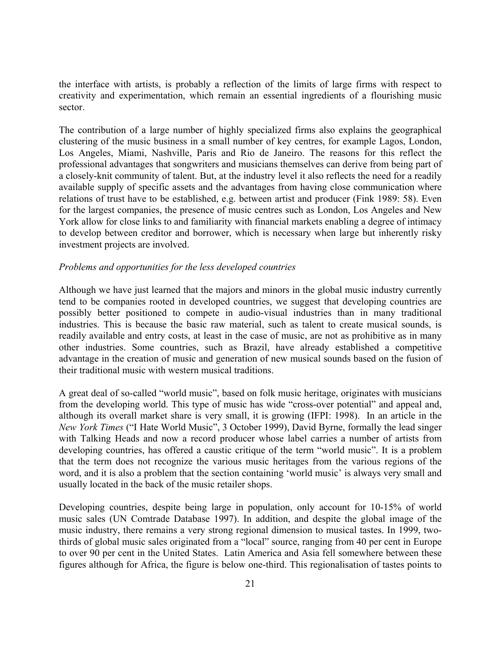the interface with artists, is probably a reflection of the limits of large firms with respect to creativity and experimentation, which remain an essential ingredients of a flourishing music sector.

The contribution of a large number of highly specialized firms also explains the geographical clustering of the music business in a small number of key centres, for example Lagos, London, Los Angeles, Miami, Nashville, Paris and Rio de Janeiro. The reasons for this reflect the professional advantages that songwriters and musicians themselves can derive from being part of a closely-knit community of talent. But, at the industry level it also reflects the need for a readily available supply of specific assets and the advantages from having close communication where relations of trust have to be established, e.g. between artist and producer (Fink 1989: 58). Even for the largest companies, the presence of music centres such as London, Los Angeles and New York allow for close links to and familiarity with financial markets enabling a degree of intimacy to develop between creditor and borrower, which is necessary when large but inherently risky investment projects are involved.

## *Problems and opportunities for the less developed countries*

Although we have just learned that the majors and minors in the global music industry currently tend to be companies rooted in developed countries, we suggest that developing countries are possibly better positioned to compete in audio-visual industries than in many traditional industries. This is because the basic raw material, such as talent to create musical sounds, is readily available and entry costs, at least in the case of music, are not as prohibitive as in many other industries. Some countries, such as Brazil, have already established a competitive advantage in the creation of music and generation of new musical sounds based on the fusion of their traditional music with western musical traditions.

A great deal of so-called "world music", based on folk music heritage, originates with musicians from the developing world. This type of music has wide "cross-over potential" and appeal and, although its overall market share is very small, it is growing (IFPI: 1998). In an article in the *New York Times* ("I Hate World Music", 3 October 1999), David Byrne, formally the lead singer with Talking Heads and now a record producer whose label carries a number of artists from developing countries, has offered a caustic critique of the term "world music". It is a problem that the term does not recognize the various music heritages from the various regions of the word, and it is also a problem that the section containing 'world music' is always very small and usually located in the back of the music retailer shops.

Developing countries, despite being large in population, only account for 10-15% of world music sales (UN Comtrade Database 1997). In addition, and despite the global image of the music industry, there remains a very strong regional dimension to musical tastes. In 1999, twothirds of global music sales originated from a "local" source, ranging from 40 per cent in Europe to over 90 per cent in the United States. Latin America and Asia fell somewhere between these figures although for Africa, the figure is below one-third. This regionalisation of tastes points to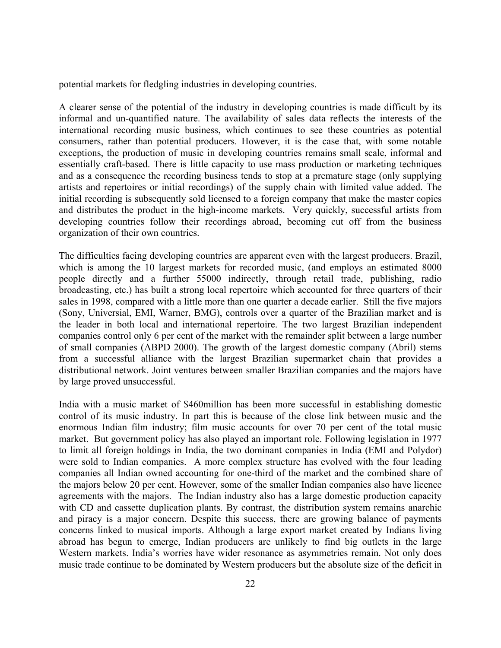potential markets for fledgling industries in developing countries.

A clearer sense of the potential of the industry in developing countries is made difficult by its informal and un-quantified nature. The availability of sales data reflects the interests of the international recording music business, which continues to see these countries as potential consumers, rather than potential producers. However, it is the case that, with some notable exceptions, the production of music in developing countries remains small scale, informal and essentially craft-based. There is little capacity to use mass production or marketing techniques and as a consequence the recording business tends to stop at a premature stage (only supplying artists and repertoires or initial recordings) of the supply chain with limited value added. The initial recording is subsequently sold licensed to a foreign company that make the master copies and distributes the product in the high-income markets. Very quickly, successful artists from developing countries follow their recordings abroad, becoming cut off from the business organization of their own countries.

The difficulties facing developing countries are apparent even with the largest producers. Brazil, which is among the 10 largest markets for recorded music, (and employs an estimated 8000 people directly and a further 55000 indirectly, through retail trade, publishing, radio broadcasting, etc.) has built a strong local repertoire which accounted for three quarters of their sales in 1998, compared with a little more than one quarter a decade earlier. Still the five majors (Sony, Universial, EMI, Warner, BMG), controls over a quarter of the Brazilian market and is the leader in both local and international repertoire. The two largest Brazilian independent companies control only 6 per cent of the market with the remainder split between a large number of small companies (ABPD 2000). The growth of the largest domestic company (Abril) stems from a successful alliance with the largest Brazilian supermarket chain that provides a distributional network. Joint ventures between smaller Brazilian companies and the majors have by large proved unsuccessful.

India with a music market of \$460million has been more successful in establishing domestic control of its music industry. In part this is because of the close link between music and the enormous Indian film industry; film music accounts for over 70 per cent of the total music market. But government policy has also played an important role. Following legislation in 1977 to limit all foreign holdings in India, the two dominant companies in India (EMI and Polydor) were sold to Indian companies. A more complex structure has evolved with the four leading companies all Indian owned accounting for one-third of the market and the combined share of the majors below 20 per cent. However, some of the smaller Indian companies also have licence agreements with the majors. The Indian industry also has a large domestic production capacity with CD and cassette duplication plants. By contrast, the distribution system remains anarchic and piracy is a major concern. Despite this success, there are growing balance of payments concerns linked to musical imports. Although a large export market created by Indians living abroad has begun to emerge, Indian producers are unlikely to find big outlets in the large Western markets. India's worries have wider resonance as asymmetries remain. Not only does music trade continue to be dominated by Western producers but the absolute size of the deficit in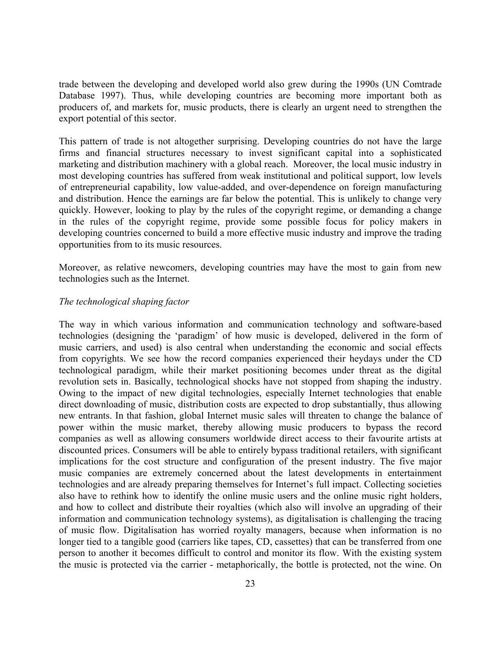trade between the developing and developed world also grew during the 1990s (UN Comtrade Database 1997). Thus, while developing countries are becoming more important both as producers of, and markets for, music products, there is clearly an urgent need to strengthen the export potential of this sector.

This pattern of trade is not altogether surprising. Developing countries do not have the large firms and financial structures necessary to invest significant capital into a sophisticated marketing and distribution machinery with a global reach. Moreover, the local music industry in most developing countries has suffered from weak institutional and political support, low levels of entrepreneurial capability, low value-added, and over-dependence on foreign manufacturing and distribution. Hence the earnings are far below the potential. This is unlikely to change very quickly. However, looking to play by the rules of the copyright regime, or demanding a change in the rules of the copyright regime, provide some possible focus for policy makers in developing countries concerned to build a more effective music industry and improve the trading opportunities from to its music resources.

Moreover, as relative newcomers, developing countries may have the most to gain from new technologies such as the Internet.

## *The technological shaping factor*

The way in which various information and communication technology and software-based technologies (designing the 'paradigm' of how music is developed, delivered in the form of music carriers, and used) is also central when understanding the economic and social effects from copyrights. We see how the record companies experienced their heydays under the CD technological paradigm, while their market positioning becomes under threat as the digital revolution sets in. Basically, technological shocks have not stopped from shaping the industry. Owing to the impact of new digital technologies, especially Internet technologies that enable direct downloading of music, distribution costs are expected to drop substantially, thus allowing new entrants. In that fashion, global Internet music sales will threaten to change the balance of power within the music market, thereby allowing music producers to bypass the record companies as well as allowing consumers worldwide direct access to their favourite artists at discounted prices. Consumers will be able to entirely bypass traditional retailers, with significant implications for the cost structure and configuration of the present industry. The five major music companies are extremely concerned about the latest developments in entertainment technologies and are already preparing themselves for Internet's full impact. Collecting societies also have to rethink how to identify the online music users and the online music right holders, and how to collect and distribute their royalties (which also will involve an upgrading of their information and communication technology systems), as digitalisation is challenging the tracing of music flow. Digitalisation has worried royalty managers, because when information is no longer tied to a tangible good (carriers like tapes, CD, cassettes) that can be transferred from one person to another it becomes difficult to control and monitor its flow. With the existing system the music is protected via the carrier - metaphorically, the bottle is protected, not the wine. On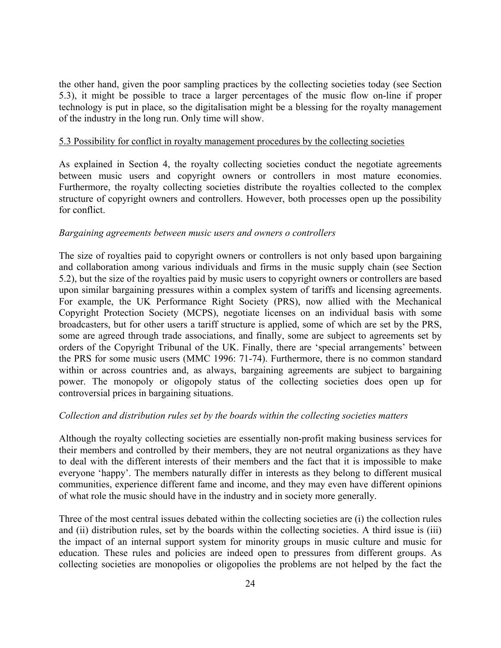the other hand, given the poor sampling practices by the collecting societies today (see Section 5.3), it might be possible to trace a larger percentages of the music flow on-line if proper technology is put in place, so the digitalisation might be a blessing for the royalty management of the industry in the long run. Only time will show.

#### 5.3 Possibility for conflict in royalty management procedures by the collecting societies

As explained in Section 4, the royalty collecting societies conduct the negotiate agreements between music users and copyright owners or controllers in most mature economies. Furthermore, the royalty collecting societies distribute the royalties collected to the complex structure of copyright owners and controllers. However, both processes open up the possibility for conflict.

#### *Bargaining agreements between music users and owners o controllers*

The size of royalties paid to copyright owners or controllers is not only based upon bargaining and collaboration among various individuals and firms in the music supply chain (see Section 5.2), but the size of the royalties paid by music users to copyright owners or controllers are based upon similar bargaining pressures within a complex system of tariffs and licensing agreements. For example, the UK Performance Right Society (PRS), now allied with the Mechanical Copyright Protection Society (MCPS), negotiate licenses on an individual basis with some broadcasters, but for other users a tariff structure is applied, some of which are set by the PRS, some are agreed through trade associations, and finally, some are subject to agreements set by orders of the Copyright Tribunal of the UK. Finally, there are 'special arrangements' between the PRS for some music users (MMC 1996: 71-74). Furthermore, there is no common standard within or across countries and, as always, bargaining agreements are subject to bargaining power. The monopoly or oligopoly status of the collecting societies does open up for controversial prices in bargaining situations.

## *Collection and distribution rules set by the boards within the collecting societies matters*

Although the royalty collecting societies are essentially non-profit making business services for their members and controlled by their members, they are not neutral organizations as they have to deal with the different interests of their members and the fact that it is impossible to make everyone 'happy'. The members naturally differ in interests as they belong to different musical communities, experience different fame and income, and they may even have different opinions of what role the music should have in the industry and in society more generally.

Three of the most central issues debated within the collecting societies are (i) the collection rules and (ii) distribution rules, set by the boards within the collecting societies. A third issue is (iii) the impact of an internal support system for minority groups in music culture and music for education. These rules and policies are indeed open to pressures from different groups. As collecting societies are monopolies or oligopolies the problems are not helped by the fact the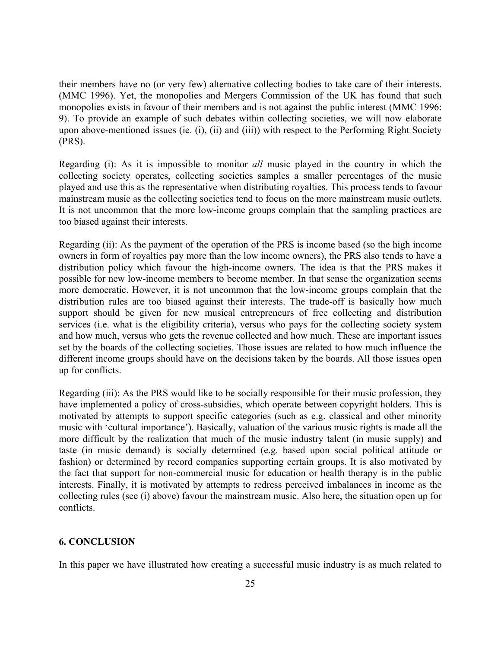their members have no (or very few) alternative collecting bodies to take care of their interests. (MMC 1996). Yet, the monopolies and Mergers Commission of the UK has found that such monopolies exists in favour of their members and is not against the public interest (MMC 1996: 9). To provide an example of such debates within collecting societies, we will now elaborate upon above-mentioned issues (ie. (i), (ii) and (iii)) with respect to the Performing Right Society (PRS).

Regarding (i): As it is impossible to monitor *all* music played in the country in which the collecting society operates, collecting societies samples a smaller percentages of the music played and use this as the representative when distributing royalties. This process tends to favour mainstream music as the collecting societies tend to focus on the more mainstream music outlets. It is not uncommon that the more low-income groups complain that the sampling practices are too biased against their interests.

Regarding (ii): As the payment of the operation of the PRS is income based (so the high income owners in form of royalties pay more than the low income owners), the PRS also tends to have a distribution policy which favour the high-income owners. The idea is that the PRS makes it possible for new low-income members to become member. In that sense the organization seems more democratic. However, it is not uncommon that the low-income groups complain that the distribution rules are too biased against their interests. The trade-off is basically how much support should be given for new musical entrepreneurs of free collecting and distribution services (i.e. what is the eligibility criteria), versus who pays for the collecting society system and how much, versus who gets the revenue collected and how much. These are important issues set by the boards of the collecting societies. Those issues are related to how much influence the different income groups should have on the decisions taken by the boards. All those issues open up for conflicts.

Regarding (iii): As the PRS would like to be socially responsible for their music profession, they have implemented a policy of cross-subsidies, which operate between copyright holders. This is motivated by attempts to support specific categories (such as e.g. classical and other minority music with 'cultural importance'). Basically, valuation of the various music rights is made all the more difficult by the realization that much of the music industry talent (in music supply) and taste (in music demand) is socially determined (e.g. based upon social political attitude or fashion) or determined by record companies supporting certain groups. It is also motivated by the fact that support for non-commercial music for education or health therapy is in the public interests. Finally, it is motivated by attempts to redress perceived imbalances in income as the collecting rules (see (i) above) favour the mainstream music. Also here, the situation open up for conflicts.

## **6. CONCLUSION**

In this paper we have illustrated how creating a successful music industry is as much related to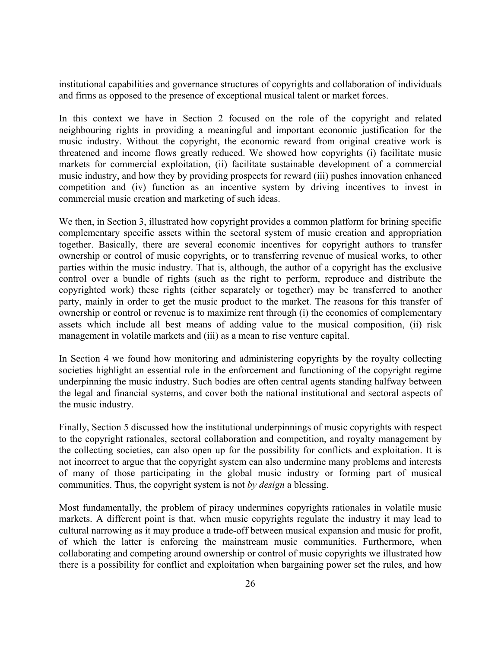institutional capabilities and governance structures of copyrights and collaboration of individuals and firms as opposed to the presence of exceptional musical talent or market forces.

In this context we have in Section 2 focused on the role of the copyright and related neighbouring rights in providing a meaningful and important economic justification for the music industry. Without the copyright, the economic reward from original creative work is threatened and income flows greatly reduced. We showed how copyrights (i) facilitate music markets for commercial exploitation, (ii) facilitate sustainable development of a commercial music industry, and how they by providing prospects for reward (iii) pushes innovation enhanced competition and (iv) function as an incentive system by driving incentives to invest in commercial music creation and marketing of such ideas.

We then, in Section 3, illustrated how copyright provides a common platform for brining specific complementary specific assets within the sectoral system of music creation and appropriation together. Basically, there are several economic incentives for copyright authors to transfer ownership or control of music copyrights, or to transferring revenue of musical works, to other parties within the music industry. That is, although, the author of a copyright has the exclusive control over a bundle of rights (such as the right to perform, reproduce and distribute the copyrighted work) these rights (either separately or together) may be transferred to another party, mainly in order to get the music product to the market. The reasons for this transfer of ownership or control or revenue is to maximize rent through (i) the economics of complementary assets which include all best means of adding value to the musical composition, (ii) risk management in volatile markets and (iii) as a mean to rise venture capital.

In Section 4 we found how monitoring and administering copyrights by the royalty collecting societies highlight an essential role in the enforcement and functioning of the copyright regime underpinning the music industry. Such bodies are often central agents standing halfway between the legal and financial systems, and cover both the national institutional and sectoral aspects of the music industry.

Finally, Section 5 discussed how the institutional underpinnings of music copyrights with respect to the copyright rationales, sectoral collaboration and competition, and royalty management by the collecting societies, can also open up for the possibility for conflicts and exploitation. It is not incorrect to argue that the copyright system can also undermine many problems and interests of many of those participating in the global music industry or forming part of musical communities. Thus, the copyright system is not *by design* a blessing.

Most fundamentally, the problem of piracy undermines copyrights rationales in volatile music markets. A different point is that, when music copyrights regulate the industry it may lead to cultural narrowing as it may produce a trade-off between musical expansion and music for profit, of which the latter is enforcing the mainstream music communities. Furthermore, when collaborating and competing around ownership or control of music copyrights we illustrated how there is a possibility for conflict and exploitation when bargaining power set the rules, and how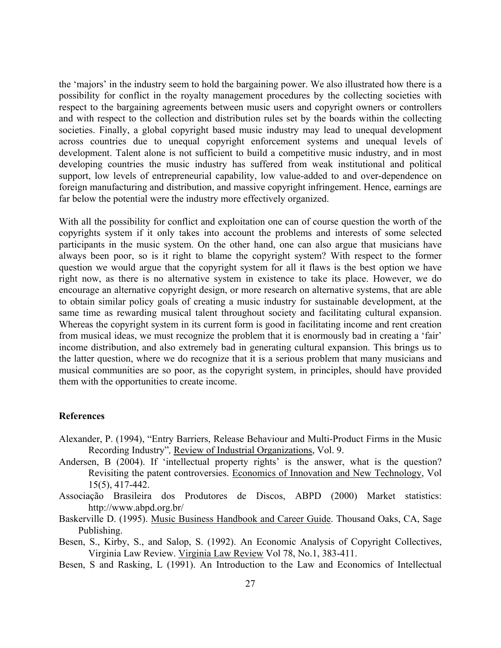the 'majors' in the industry seem to hold the bargaining power. We also illustrated how there is a possibility for conflict in the royalty management procedures by the collecting societies with respect to the bargaining agreements between music users and copyright owners or controllers and with respect to the collection and distribution rules set by the boards within the collecting societies. Finally, a global copyright based music industry may lead to unequal development across countries due to unequal copyright enforcement systems and unequal levels of development. Talent alone is not sufficient to build a competitive music industry, and in most developing countries the music industry has suffered from weak institutional and political support, low levels of entrepreneurial capability, low value-added to and over-dependence on foreign manufacturing and distribution, and massive copyright infringement. Hence, earnings are far below the potential were the industry more effectively organized.

With all the possibility for conflict and exploitation one can of course question the worth of the copyrights system if it only takes into account the problems and interests of some selected participants in the music system. On the other hand, one can also argue that musicians have always been poor, so is it right to blame the copyright system? With respect to the former question we would argue that the copyright system for all it flaws is the best option we have right now, as there is no alternative system in existence to take its place. However, we do encourage an alternative copyright design, or more research on alternative systems, that are able to obtain similar policy goals of creating a music industry for sustainable development, at the same time as rewarding musical talent throughout society and facilitating cultural expansion. Whereas the copyright system in its current form is good in facilitating income and rent creation from musical ideas, we must recognize the problem that it is enormously bad in creating a 'fair' income distribution, and also extremely bad in generating cultural expansion. This brings us to the latter question, where we do recognize that it is a serious problem that many musicians and musical communities are so poor, as the copyright system, in principles, should have provided them with the opportunities to create income.

## **References**

- Alexander, P. (1994), "Entry Barriers, Release Behaviour and Multi-Product Firms in the Music Recording Industry"*,* Review of Industrial Organizations, Vol. 9.
- Andersen, B (2004). If 'intellectual property rights' is the answer, what is the question? Revisiting the patent controversies. Economics of Innovation and New Technology, Vol 15(5), 417-442.
- Associação Brasileira dos Produtores de Discos, ABPD (2000) Market statistics: http://www.abpd.org.br/
- Baskerville D. (1995). Music Business Handbook and Career Guide. Thousand Oaks, CA, Sage Publishing.
- Besen, S., Kirby, S., and Salop, S. (1992). An Economic Analysis of Copyright Collectives, Virginia Law Review. Virginia Law Review Vol 78, No.1, 383-411.
- Besen, S and Rasking, L (1991). An Introduction to the Law and Economics of Intellectual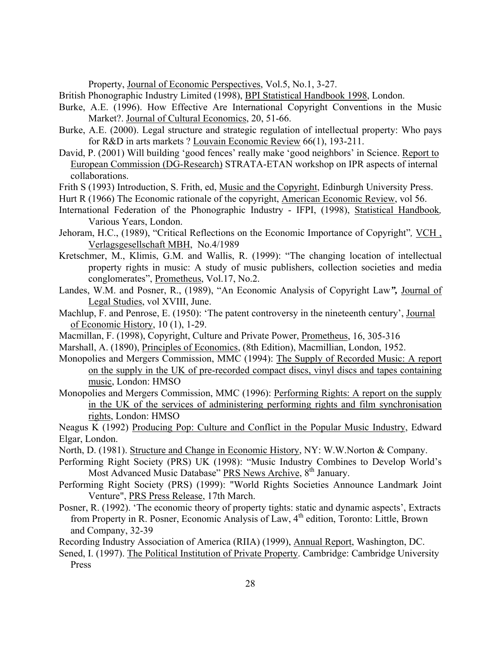Property, Journal of Economic Perspectives, Vol.5, No.1, 3-27.

British Phonographic Industry Limited (1998), BPI Statistical Handbook 1998, London.

- Burke, A.E. (1996). How Effective Are International Copyright Conventions in the Music Market?. Journal of Cultural Economics, 20, 51-66.
- Burke, A.E. (2000). Legal structure and strategic regulation of intellectual property: Who pays for R&D in arts markets ? Louvain Economic Review 66(1), 193-211.
- David, P. (2001) Will building 'good fences' really make 'good neighbors' in Science. Report to European Commission (DG-Research) STRATA-ETAN workshop on IPR aspects of internal collaborations.
- Frith S (1993) Introduction, S. Frith, ed, Music and the Copyright, Edinburgh University Press.
- Hurt R (1966) The Economic rationale of the copyright, American Economic Review, vol 56.
- International Federation of the Phonographic Industry IFPI, (1998), Statistical Handbook*,* Various Years, London.
- Jehoram, H.C., (1989), "Critical Reflections on the Economic Importance of Copyright", VCH, Verlagsgesellschaft MBH, No.4/1989
- Kretschmer, M., Klimis, G.M. and Wallis, R. (1999): "The changing location of intellectual property rights in music: A study of music publishers, collection societies and media conglomerates", Prometheus, Vol.17, No.2.
- Landes, W.M. and Posner, R., (1989), "An Economic Analysis of Copyright Law*",* Journal of Legal Studies, vol XVIII, June.
- Machlup, F. and Penrose, E. (1950): 'The patent controversy in the nineteenth century', Journal of Economic History, 10 (1), 1-29.
- Macmillan, F. (1998), Copyright, Culture and Private Power, Prometheus, 16, 305-316
- Marshall, A. (1890), Principles of Economics, (8th Edition), Macmillian, London, 1952.
- Monopolies and Mergers Commission, MMC (1994): The Supply of Recorded Music: A report on the supply in the UK of pre-recorded compact discs, vinyl discs and tapes containing music, London: HMSO
- Monopolies and Mergers Commission, MMC (1996): Performing Rights: A report on the supply in the UK of the services of administering performing rights and film synchronisation rights, London: HMSO

Neagus K (1992) Producing Pop: Culture and Conflict in the Popular Music Industry, Edward Elgar, London.

- North, D. (1981). Structure and Change in Economic History, NY: W.W.Norton & Company.
- Performing Right Society (PRS) UK (1998): "Music Industry Combines to Develop World's Most Advanced Music Database" PRS News Archive, 8<sup>th</sup> January.
- Performing Right Society (PRS) (1999): "World Rights Societies Announce Landmark Joint Venture", PRS Press Release, 17th March.
- Posner, R. (1992). 'The economic theory of property tights: static and dynamic aspects', Extracts from Property in R. Posner, Economic Analysis of Law, 4<sup>th</sup> edition, Toronto: Little, Brown and Company, 32-39
- Recording Industry Association of America (RIIA) (1999), Annual Report, Washington, DC.
- Sened, I. (1997). The Political Institution of Private Property. Cambridge: Cambridge University Press